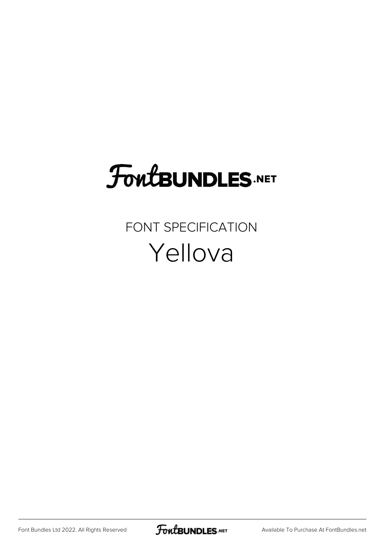# **FoutBUNDLES.NET**

FONT SPECIFICATION Yellova

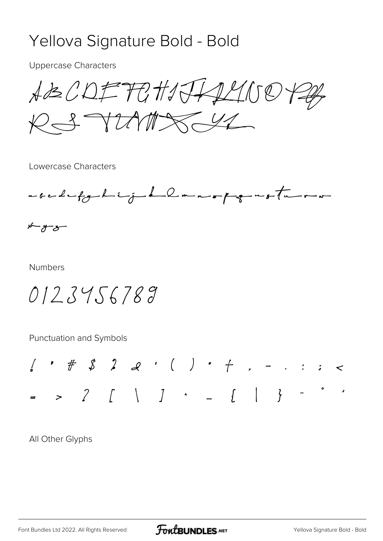### Yellova Signature Bold - Bold

**Uppercase Characters** 

 $A B C D F F G H J G A L U O P A F$  $R371777842$ 

Lowercase Characters



 $x - y - z$ 

**Numbers** 

0123456789

Punctuation and Symbols



All Other Glyphs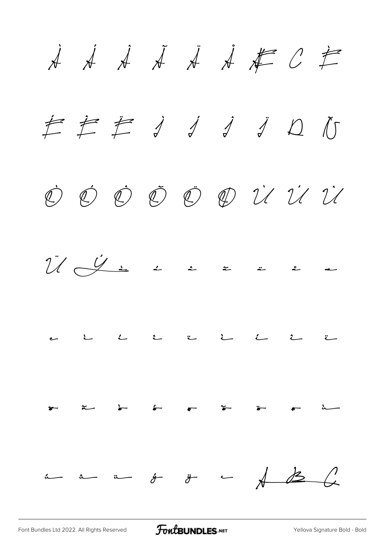**À Á Â Ã Ä Å Æ Ç È É Ê Ë Ì Í Î Ï Ð Ñ Ò Ó Ô Õ Ö Ø Ù Ú Û Ü Ý à á â ã ä å æ ç è é ê ë ì í î ï ð ñ ò ó ô õ ö ø ù ú û ü ý ÿ ı**

[Font Bundles Ltd 2022. All Rights Reserved](https://fontbundles.net/) **FoutBUNDLES.NET** [Yellova Signature Bold - Bold](https://fontbundles.net/)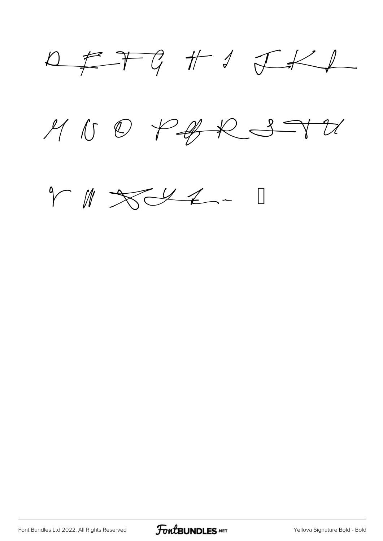$D \not\equiv T G \not\parallel J \not\subset K L$  $MUSPABR37U$ 



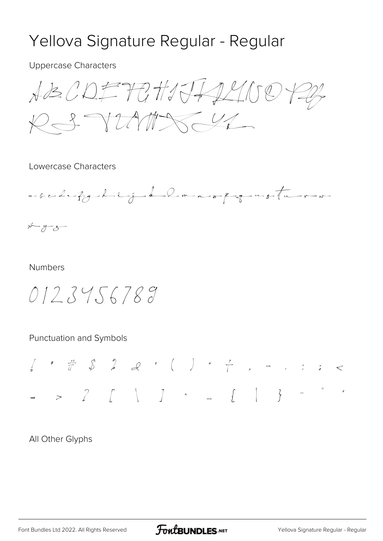## Yellova Signature Regular - Regular

**Uppercase Characters** 

 $A B C D F T G H J J A L U C F P P$  $R372777874$ 

Lowercase Characters



 $x - y - 3$ 

#### **Numbers**

 $012.34.56789$ 

Punctuation and Symbols

All Other Glyphs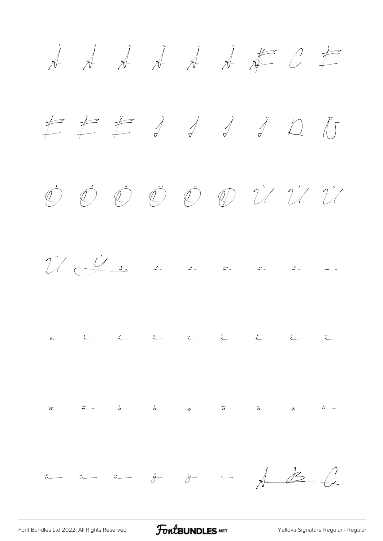À Á Â Ã Ä Å Æ Ç È É Ê Ë Ì Í Î Ï Ð Ñ Ò Ó Ô Õ Ö Ø Ù Ú Û  $\frac{1}{2}$   $\frac{1}{2}$  à â  $\frac{2}{3}$  ä ä å æ  $c$  i i î i i î  $\begin{array}{ccc} \begin{array}{ccc} \star & \star & \star & \star \\ \star & \end{array} & \begin{array}{ccc} \star & \star & \star & \star \\ \star & \end{array} & \begin{array}{ccc} \star & \star & \star & \star \\ \star & \end{array} & \begin{array}{ccc} \star & \star & \star & \star \\ \star & \end{array} \end{array}$ ú û ü ý ÿ ı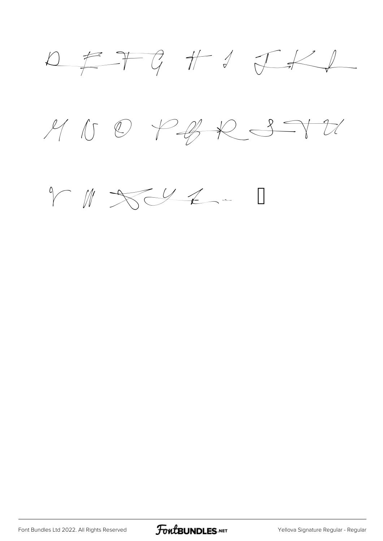



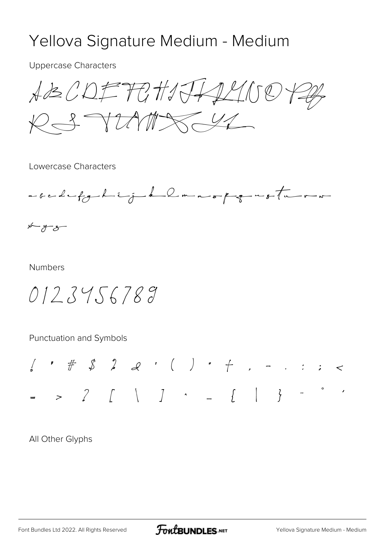### Yellova Signature Medium - Medium

**Uppercase Characters** 

 $A B C D F T G H J G A L U C F F$ RS TUMAS 44

Lowercase Characters



 $x - y - z$ 

#### **Numbers**

 $0123456789$ 

Punctuation and Symbols

All Other Glyphs

**FoutBUNDLES.NET**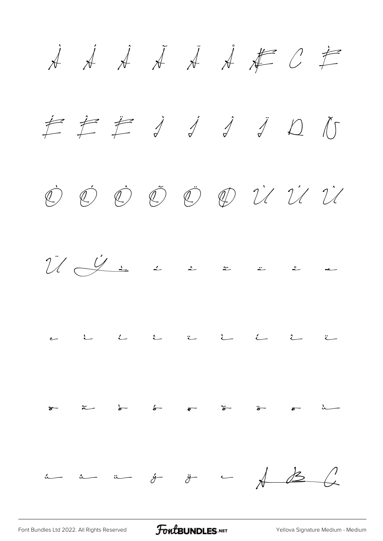À Á Â Ã Ä Å Æ Ç È É Ê Ë Ì Í Î Ï Ð Ñ Ò Ó Ô Õ Ö Ø Ù Ú Û  $\bigcup_{i=1}^{n} \bigcup_{i=1}^{n} x_i$  à  $x = x$  à  $x = 2$ ç è é ê ë ì í î ï ð ñ ò ó ô õ ö ø ù  ${\mathfrak u}$   ${\mathfrak u}$   ${\mathfrak v}$   ${\mathfrak y}$   ${\mathfrak v}$   ${\mathfrak v}$   ${\mathfrak v}$   ${\mathfrak v}$   ${\mathfrak v}$   ${\mathfrak v}$   ${\mathfrak v}$ 

[Font Bundles Ltd 2022. All Rights Reserved](https://fontbundles.net/) **FoutBUNDLES.NET** [Yellova Signature Medium - Medium](https://fontbundles.net/)